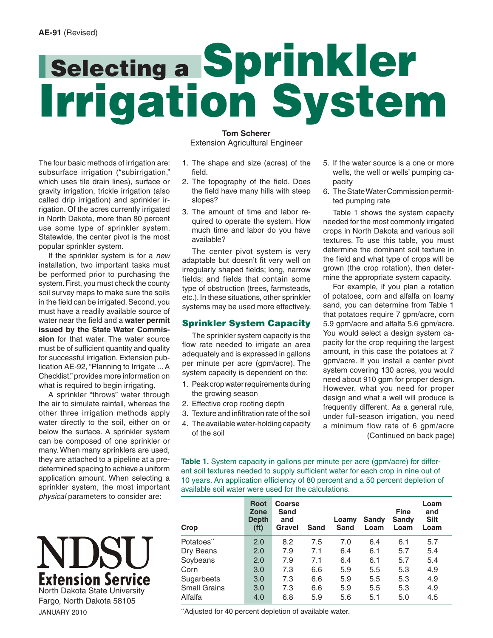# **Selecting a Sprinkler Irrigation System**

The four basic methods of irrigation are: subsurface irrigation ("subirrigation," which uses tile drain lines), surface or gravity irrigation, trickle irrigation (also called drip irrigation) and sprinkler irrigation. Of the acres currently irrigated in North Dakota, more than 80 percent use some type of sprinkler system. Statewide, the center pivot is the most popular sprinkler system.

If the sprinkler system is for a *new* installation, two important tasks must be performed prior to purchasing the system. First, you must check the county soil survey maps to make sure the soils in the field can be irrigated. Second, you must have a readily available source of water near the field and a **water permit issued by the State Water Commission** for that water. The water source must be of sufficient quantity and quality for successful irrigation. Extension publication [AE-92, "Planning to Irrigate ..](http://www.ag.ndsu.edu/pubs/ageng/irrigate/ae92w.htm). A Checklist," provides more information on what is required to begin irrigating.

A sprinkler "throws" water through the air to simulate rainfall, whereas the other three irrigation methods apply water directly to the soil, either on or below the surface. A sprinkler system can be composed of one sprinkler or many. When many sprinklers are used, they are attached to a pipeline at a predetermined spacing to achieve a uniform application amount. When selecting a sprinkler system, the most important *physical* parameters to consider are:

# I I ISI 1 **Extension Service** North Dakota State University Fargo, North Dakota 58105

JANUARY 2010

**Tom Scherer** Extension Agricultural Engineer

- 1. The shape and size (acres) of the fi eld.
- 2. The topography of the field. Does the field have many hills with steep slopes?
- 3. The amount of time and labor required to operate the system. How much time and labor do you have available?

The center pivot system is very adaptable but doesn't fit very well on irregularly shaped fields; long, narrow fields; and fields that contain some type of obstruction (trees, farmsteads, etc.). In these situations, other sprinkler systems may be used more effectively.

# **Sprinkler System Capacity**

The sprinkler system capacity is the flow rate needed to irrigate an area adequately and is expressed in gallons per minute per acre (gpm/acre). The system capacity is dependent on the:

- 1. Peak crop water requirements during the growing season
- 2. Effective crop rooting depth
- 3. Texture and infiltration rate of the soil
- 4. The available water-holding capacity of the soil
- 5. If the water source is a one or more wells, the well or wells' pumping capacity
- 6. The State Water Commission permitted pumping rate

Table 1 shows the system capacity needed for the most commonly irrigated crops in North Dakota and various soil textures. To use this table, you must determine the dominant soil texture in the field and what type of crops will be grown (the crop rotation), then determine the appropriate system capacity.

For example, if you plan a rotation of potatoes, corn and alfalfa on loamy sand, you can determine from Table 1 that potatoes require 7 gpm/acre, corn 5.9 gpm/acre and alfalfa 5.6 gpm/acre. You would select a design system capacity for the crop requiring the largest amount, in this case the potatoes at 7 gpm/acre. If you install a center pivot system covering 130 acres, you would need about 910 gpm for proper design. However, what you need for proper design and what a well will produce is frequently different. As a general rule, under full-season irrigation, you need a minimum flow rate of 6 gpm/acre (Continued on back page)

Table 1. System capacity in gallons per minute per acre (gpm/acre) for different soil textures needed to supply sufficient water for each crop in nine out of 10 years. An application efficiency of 80 percent and a 50 percent depletion of available soil water were used for the calculations.

| <b>Root</b><br>Zone<br><b>Depth</b><br>(f <sup>t</sup> ) | Coarse<br>Sand<br>and<br><b>Gravel</b> | Sand | Loamy<br>Sand | Sandy<br>Loam | <b>Fine</b><br>Sandy<br>Loam | Loam<br>and<br><b>Silt</b><br>Loam |
|----------------------------------------------------------|----------------------------------------|------|---------------|---------------|------------------------------|------------------------------------|
| 2.0                                                      | 8.2                                    | 7.5  | 7.0           | 6.4           | 6.1                          | 5.7                                |
| 2.0                                                      | 7.9                                    | 7.1  | 6.4           | 6.1           | 5.7                          | 5.4                                |
| 2.0                                                      | 7.9                                    | 7.1  | 6.4           | 6.1           | 5.7                          | 5.4                                |
| 3.0                                                      | 7.3                                    | 6.6  | 5.9           | 5.5           | 5.3                          | 4.9                                |
| 3.0                                                      | 7.3                                    | 6.6  | 5.9           | 5.5           | 5.3                          | 4.9                                |
| 3.0                                                      | 7.3                                    | 6.6  | 5.9           | 5.5           | 5.3                          | 4.9                                |
| 4.0                                                      | 6.8                                    | 5.9  | 5.6           | 5.1           | 5.0                          | 4.5                                |
|                                                          |                                        |      |               |               |                              |                                    |

\*\*Adjusted for 40 percent depletion of available water.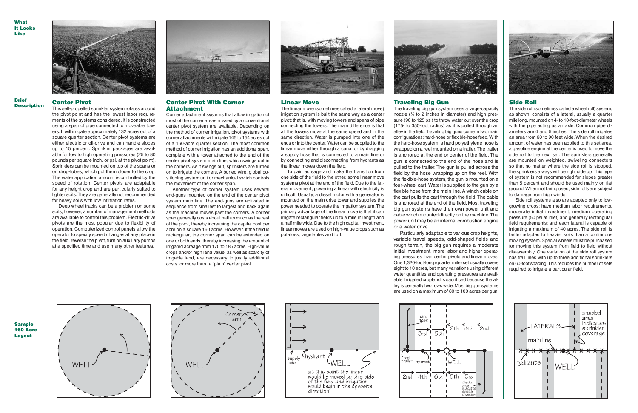#### **Center Pivot**

This self-propelled sprinkler system rotates around the pivot point and has the lowest labor requirements of the systems considered. It is constructed using a span of pipe connected to moveable towers. It will irrigate approximately 132 acres out of a square quarter section. Center pivot systems are either electric or oil-drive and can handle slopes up to 15 percent. Sprinkler packages are available for low to high operating pressures (25 to 80 pounds per square inch, or psi, at the pivot point). Sprinklers can be mounted on top of the spans or on drop-tubes, which put them closer to the crop. The water application amount is controlled by the speed of rotation. Center pivots are adaptable for any height crop and are particularly suited to lighter soils. They are generally not recommended for heavy soils with low infiltration rates.

Deep wheel tracks can be a problem on some soils; however, a number of management methods are available to control this problem. Electric-drive pivots are the most popular due to flexibility of operation. Computerized control panels allow the operator to specify speed changes at any place in the field, reverse the pivot, turn on auxiliary pumps at a specified time and use many other features.



## **Center Pivot With Corner Attachment**

The linear move (sometimes called a lateral move) irrigation system is built the same way as a center pivot; that is, with moving towers and spans of pipe connecting the towers. The main difference is that all the towers move at the same speed and in the same direction. Water is pumped into one of the ends or into the center. Water can be supplied to the linear move either through a canal or by dragging a supply hose that is connected to a main line or by connecting and disconnecting from hydrants as the linear moves down the field.

Corner attachment systems that allow irrigation of most of the corner areas missed by a conventional center pivot system are available. Depending on the method of corner irrigation, pivot systems with corner attachments will irrigate 145 to 154 acres out of a 160-acre quarter section. The most common method of corner irrigation has an additional span, complete with a tower attached to the end of the center pivot system main line, which swings out in the corners. As it swings out, sprinklers are turned on to irrigate the corners. A buried wire, global positioning system unit or mechanical switch controls the movement of the corner span.

Another type of corner system uses several end-guns mounted on the end of the center pivot system main line. The end-guns are activated in sequence from smallest to largest and back again as the machine moves past the corners. A corner span generally costs about half as much as the rest of the pivot, thereby increasing the capital cost per acre on a square 160 acres. However, if the field is rectangular, the corner span can be extended on one or both ends, thereby increasing the amount of irrigated acreage from 170 to 185 acres. High-value crops and/or high land value, as well as scarcity of irrigable land, are necessary to justify additional costs for more than a "plain" center pivot.



#### **Linear Move**

Side roll systems also are adapted only to lowgrowing crops; have medium labor requirements, moderate initial investment, medium operating pressure (50 psi at inlet) and generally rectangular field requirements; and each lateral is capable of irrigating a maximum of 40 acres. The side roll is better adapted to heavier soils than a continuous moving system. Special wheels must be purchased for moving this system from field to field without disassembly. One variation of the side roll system has trail lines with up to three additional sprinklers on 60-foot spacing. This reduces the number of sets required to irrigate a particular field.



To gain acreage and make the transition from one side of the field to the other, some linear move systems pivot at the end of the field. Due to the lateral movement, powering a linear with electricity is difficult. Usually, a diesel motor with a generator is mounted on the main drive tower and supplies the power needed to operate the irrigation system. The primary advantage of the linear move is that it can irrigate rectangular fields up to a mile in length and a half mile wide. Due to the high capital investment, linear moves are used on high-value crops such as potatoes, vegetables and turf.



## **BriefDescription**

**WhatIt LooksLike**



**Sample**









**Layout**

# **Traveling Big Gun**

The traveling big gun system uses a large-capacity nozzle (¾ to 2 inches in diameter) and high pressure (90 to 125 psi) to throw water out over the crop (175- to 350-foot radius) as it is pulled through an alley in the field. Traveling big guns come in two main configurations: hard-hose or flexible-hose feed. With the hard-hose system, a hard polyethylene hose is wrapped on a reel mounted on a trailer. The trailer is anchored at the end or center of the field. The gun is connected to the end of the hose and is pulled to the trailer. The gun is pulled across the field by the hose wrapping up on the reel. With the flexible-hose system, the gun is mounted on a four-wheel cart. Water is supplied to the gun by a flexible hose from the main line. A winch cable on the cart pulls the cart through the field. The cable is anchored at the end of the field. Most traveling big gun systems have their own power unit and cable winch mounted directly on the machine. The power unit may be an internal combustion engine or a water drive.

Particularly adaptable to various crop heights, variable travel speeds, odd-shaped fields and rough terrain, the big gun requires a moderate initial investment, more labor and higher operating pressures than center pivots and linear moves. One 1,320-foot-long (quarter mile) set usually covers eight to 10 acres, but many variations using different water quantities and operating pressures are available. Irrigated cropland is sacrificed because the alley is generally two rows wide. Most big gun systems are used on a maximum of 80 to 100 acres per gun.



# **Side Roll**

The side roll (sometimes called a wheel roll) system, as shown, consists of a lateral, usually a quarter mile long, mounted on 4- to 10-foot-diameter wheels with the pipe acting as an axle. Common pipe diameters are 4 and 5 inches. The side roll irrigates an area from 60 to 90 feet wide. When the desired amount of water has been applied to this set area, a gasoline engine at the center is used to move the side roll to the next set. The sprinklers generally are mounted on weighted, swiveling connectors so that no matter where the side roll is stopped, the sprinklers always will be right side up. This type of system is not recommended for slopes greater than 5 percent and should be used mainly on flat ground. When not being used, side rolls are subject to damage from high winds.